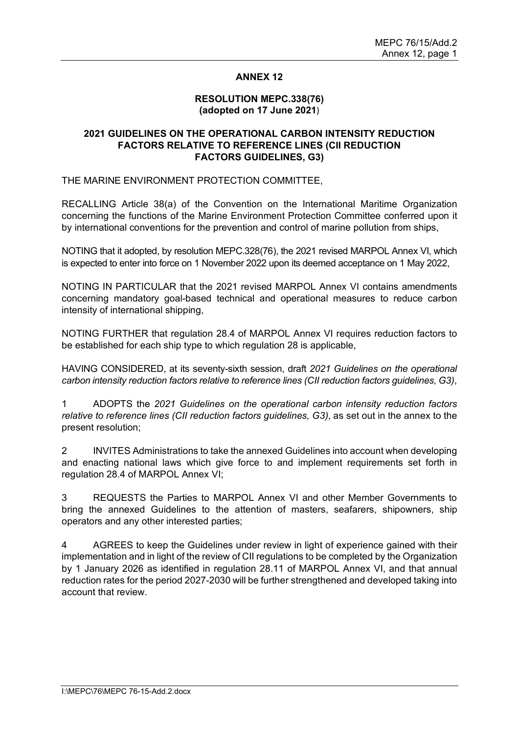### **ANNEX 12**

#### **RESOLUTION MEPC.338(76) (adopted on 17 June 2021**)

### **2021 GUIDELINES ON THE OPERATIONAL CARBON INTENSITY REDUCTION FACTORS RELATIVE TO REFERENCE LINES (CII REDUCTION FACTORS GUIDELINES, G3)**

THE MARINE ENVIRONMENT PROTECTION COMMITTEE,

RECALLING Article 38(a) of the Convention on the International Maritime Organization concerning the functions of the Marine Environment Protection Committee conferred upon it by international conventions for the prevention and control of marine pollution from ships,

NOTING that it adopted, by resolution MEPC.328(76), the 2021 revised MARPOL Annex VI, which is expected to enter into force on 1 November 2022 upon its deemed acceptance on 1 May 2022,

NOTING IN PARTICULAR that the 2021 revised MARPOL Annex VI contains amendments concerning mandatory goal-based technical and operational measures to reduce carbon intensity of international shipping,

NOTING FURTHER that regulation 28.4 of MARPOL Annex VI requires reduction factors to be established for each ship type to which regulation 28 is applicable,

HAVING CONSIDERED, at its seventy-sixth session, draft *2021 Guidelines on the operational carbon intensity reduction factors relative to reference lines (CII reduction factors guidelines, G3)*,

1 ADOPTS the *2021 Guidelines on the operational carbon intensity reduction factors relative to reference lines (CII reduction factors guidelines, G3)*, as set out in the annex to the present resolution;

2 INVITES Administrations to take the annexed Guidelines into account when developing and enacting national laws which give force to and implement requirements set forth in regulation 28.4 of MARPOL Annex VI;

3 REQUESTS the Parties to MARPOL Annex VI and other Member Governments to bring the annexed Guidelines to the attention of masters, seafarers, shipowners, ship operators and any other interested parties;

4 AGREES to keep the Guidelines under review in light of experience gained with their implementation and in light of the review of CII regulations to be completed by the Organization by 1 January 2026 as identified in regulation 28.11 of MARPOL Annex VI, and that annual reduction rates for the period 2027-2030 will be further strengthened and developed taking into account that review.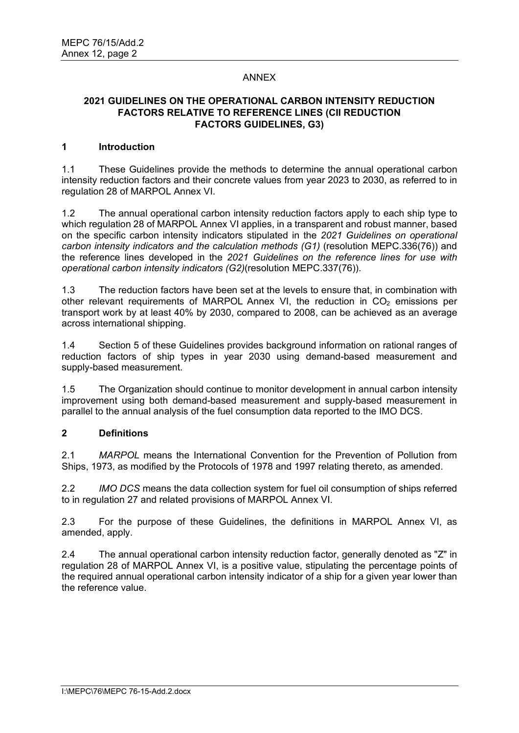### ANNEX

## **2021 GUIDELINES ON THE OPERATIONAL CARBON INTENSITY REDUCTION FACTORS RELATIVE TO REFERENCE LINES (CII REDUCTION FACTORS GUIDELINES, G3)**

### **1 Introduction**

1.1 These Guidelines provide the methods to determine the annual operational carbon intensity reduction factors and their concrete values from year 2023 to 2030, as referred to in regulation 28 of MARPOL Annex VI.

1.2 The annual operational carbon intensity reduction factors apply to each ship type to which regulation 28 of MARPOL Annex VI applies, in a transparent and robust manner, based on the specific carbon intensity indicators stipulated in the *2021 Guidelines on operational carbon intensity indicators and the calculation methods (G1)* (resolution MEPC.336(76)) and the reference lines developed in the *2021 Guidelines on the reference lines for use with operational carbon intensity indicators (G2)*(resolution MEPC.337(76)).

1.3 The reduction factors have been set at the levels to ensure that, in combination with other relevant requirements of MARPOL Annex VI, the reduction in  $CO<sub>2</sub>$  emissions per transport work by at least 40% by 2030, compared to 2008, can be achieved as an average across international shipping.

1.4 Section 5 of these Guidelines provides background information on rational ranges of reduction factors of ship types in year 2030 using demand-based measurement and supply-based measurement.

1.5 The Organization should continue to monitor development in annual carbon intensity improvement using both demand-based measurement and supply-based measurement in parallel to the annual analysis of the fuel consumption data reported to the IMO DCS.

### **2 Definitions**

2.1 *MARPOL* means the International Convention for the Prevention of Pollution from Ships, 1973, as modified by the Protocols of 1978 and 1997 relating thereto, as amended.

2.2 *IMO DCS* means the data collection system for fuel oil consumption of ships referred to in regulation 27 and related provisions of MARPOL Annex VI.

2.3 For the purpose of these Guidelines, the definitions in MARPOL Annex VI, as amended, apply.

2.4 The annual operational carbon intensity reduction factor, generally denoted as "Z" in regulation 28 of MARPOL Annex VI, is a positive value, stipulating the percentage points of the required annual operational carbon intensity indicator of a ship for a given year lower than the reference value.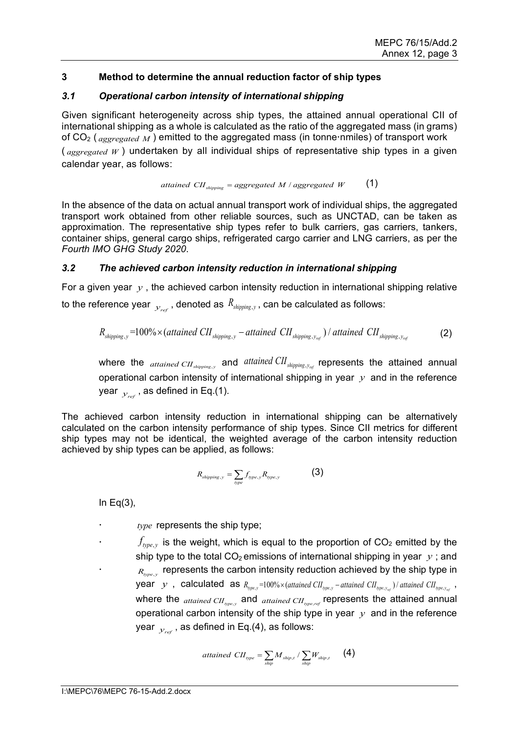## **3 Method to determine the annual reduction factor of ship types**

## *3.1 Operational carbon intensity of international shipping*

Given significant heterogeneity across ship types, the attained annual operational CII of international shipping as a whole is calculated as the ratio of the aggregated mass (in grams) of CO<sub>2</sub> (*aggregated M*) emitted to the aggregated mass (in tonne nmiles) of transport work ( *aggregated W* ) undertaken by all individual ships of representative ship types in a given calendar year, as follows:

attained 
$$
CII_{shipping} = aggregated \ M / aggregated \ W
$$
 (1)

In the absence of the data on actual annual transport work of individual ships, the aggregated transport work obtained from other reliable sources, such as UNCTAD, can be taken as approximation. The representative ship types refer to bulk carriers, gas carriers, tankers, container ships, general cargo ships, refrigerated cargo carrier and LNG carriers, as per the *Fourth IMO GHG Study 2020*.

### *3.2 The achieved carbon intensity reduction in international shipping*

For a given year *y* , the achieved carbon intensity reduction in international shipping relative to the reference year  $y_{ref}$ , denoted as  $R_{\text{shipping},y}$ , can be calculated as follows:

$$
R_{\text{shipping},y} = 100\% \times (attained\ CI\_{\text{shipping},y} -attained\ CI\_{\text{shipping},y_{ref}})/\text{attained\ CI\_{\text{shipping},y_{ref}}}
$$
 (2)

where the  $_{attained \, CH \, \text{shinning} \, \text{y}}$  and  $_{attained \, CH \, \text{shipping} \, \text{y}_{\text{ref}}}$  represents the attained annual operational carbon intensity of international shipping in year *y* and in the reference year  $_{y_{ref}}$ , as defined in Eq.(1).

The achieved carbon intensity reduction in international shipping can be alternatively calculated on the carbon intensity performance of ship types. Since CII metrics for different ship types may not be identical, the weighted average of the carbon intensity reduction achieved by ship types can be applied, as follows:

$$
R_{\text{shipping},y} = \sum_{\text{type}} f_{\text{type},y} R_{\text{type},y} \tag{3}
$$

In  $Eq(3)$ ,

*type* represents the ship type;

 $f_{\text{type},y}$  is the weight, which is equal to the proportion of CO<sub>2</sub> emitted by the ship type to the total  $CO<sub>2</sub>$  emissions of international shipping in year  $y$ ; and  $R_{\text{type},y}$  represents the carbon intensity reduction achieved by the ship type in year *y*, calculated as  $R_{\text{type},y} = 100\% \times (attained \text{ CH}_{\text{type},y} - attained \text{ CH}_{\text{type},y_{\text{out}}})/attained \text{ CH}_{\text{type},y_{\text{out}}}$ , where the  $_{attained \, CH_{\text{true},v}}$  and  $_{attained \, CH_{\text{true},ref}}$  represents the attained annual operational carbon intensity of the ship type in year *y* and in the reference year  $y_{\text{ref}}$ , as defined in Eq.(4), as follows:

$$
attained \,\, CH_{\, type} = \sum_{\text{ship}} M_{\text{ship},t} / \sum_{\text{ship},t} W_{\text{ship},t} \qquad (4)
$$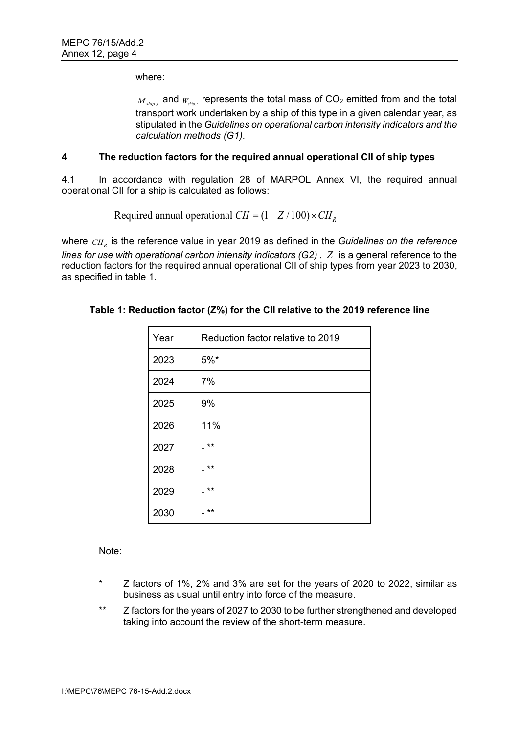where:

 $M_{ship, t}$  and  $W_{ship, t}$  represents the total mass of  $CO<sub>2</sub>$  emitted from and the total transport work undertaken by a ship of this type in a given calendar year, as stipulated in the *Guidelines on operational carbon intensity indicators and the calculation methods (G1)*.

### **4 The reduction factors for the required annual operational CII of ship types**

4.1 In accordance with regulation 28 of MARPOL Annex VI, the required annual operational CII for a ship is calculated as follows:

Required annual operational  $CII = (1 - Z/100) \times CII$ <sub>p</sub>

where  $\emph{CH}_p$  is the reference value in year 2019 as defined in the *Guidelines on the reference lines for use with operational carbon intensity indicators (G2)* , *Z* is a general reference to the reduction factors for the required annual operational CII of ship types from year 2023 to 2030, as specified in table 1.

| Year | Reduction factor relative to 2019 |
|------|-----------------------------------|
| 2023 | $5%$ *                            |
| 2024 | 7%                                |
| 2025 | 9%                                |
| 2026 | 11%                               |
| 2027 | $***$                             |
| 2028 | $***$                             |
| 2029 | $***$                             |
| 2030 | $***$                             |

# **Table 1: Reduction factor (Z%) for the CII relative to the 2019 reference line**

Note:

- Z factors of  $1\%$ ,  $2\%$  and  $3\%$  are set for the years of 2020 to 2022, similar as business as usual until entry into force of the measure.
- \*\* Z factors for the years of 2027 to 2030 to be further strengthened and developed taking into account the review of the short-term measure.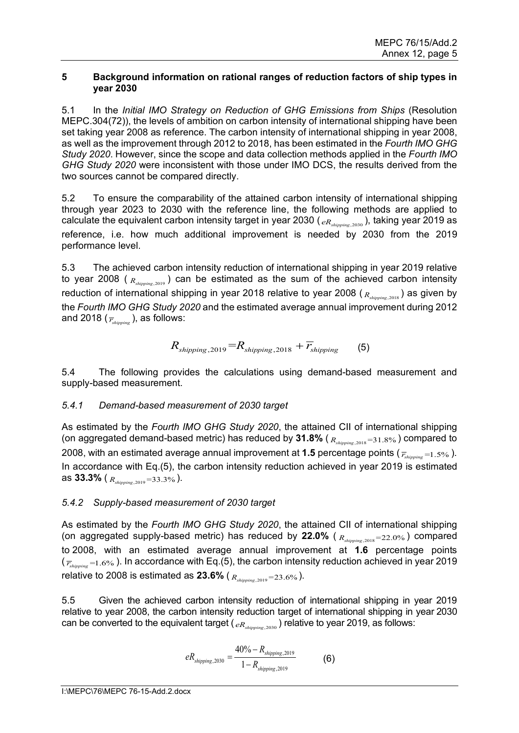### **5 Background information on rational ranges of reduction factors of ship types in year 2030**

5.1 In the *Initial IMO Strategy on Reduction of GHG Emissions from Ships* (Resolution MEPC.304(72)), the levels of ambition on carbon intensity of international shipping have been set taking year 2008 as reference. The carbon intensity of international shipping in year 2008, as well as the improvement through 2012 to 2018, has been estimated in the *Fourth IMO GHG Study 2020*. However, since the scope and data collection methods applied in the *Fourth IMO GHG Study 2020* were inconsistent with those under IMO DCS, the results derived from the two sources cannot be compared directly.

5.2 To ensure the comparability of the attained carbon intensity of international shipping through year 2023 to 2030 with the reference line, the following methods are applied to calculate the equivalent carbon intensity target in year 2030 ( $_{eR_{shimine,2030}}$ ), taking year 2019 as reference, i.e. how much additional improvement is needed by 2030 from the 2019 performance level.

5.3 The achieved carbon intensity reduction of international shipping in year 2019 relative to year 2008 ( *Rshipping*,2019 ) can be estimated as the sum of the achieved carbon intensity reduction of international shipping in year 2018 relative to year 2008 ( *Rshipping*,2018 ) as given by the *Fourth IMO GHG Study 2020* and the estimated average annual improvement during 2012 and 2018 ( $\bar{r}_{shimine}$ ), as follows:

$$
R_{\text{shipping},2019} = R_{\text{shipping},2018} + \overline{r}_{\text{shipping}} \tag{5}
$$

5.4 The following provides the calculations using demand-based measurement and supply-based measurement.

# *5.4.1 Demand-based measurement of 2030 target*

As estimated by the *Fourth IMO GHG Study 2020*, the attained CII of international shipping (on aggregated demand-based metric) has reduced by 31.8% ( $R_{\text{shipping},2018}=31.8\%$ ) compared to 2008, with an estimated average annual improvement at **1.5** percentage points ( $\overline{r}_{\text{shipning}} = 1.5\%$ ). In accordance with Eq.(5), the carbon intensity reduction achieved in year 2019 is estimated as **33.3%** ( *Rshipping*,2019 =33.3% ).

# *5.4.2 Supply-based measurement of 2030 target*

As estimated by the *Fourth IMO GHG Study 2020*, the attained CII of international shipping (on aggregated supply-based metric) has reduced by **22.0%** ( *Rshipping*,2018=22.0% ) compared to 2008, with an estimated average annual improvement at **1.6** percentage points  $(\overline{r}_{\text{shipping}}=1.6\% )$ . In accordance with Eq.(5), the carbon intensity reduction achieved in year 2019 relative to 2008 is estimated as **23.6%** ( *Rshipping*,2019 =23.6% ).

5.5 Given the achieved carbon intensity reduction of international shipping in year 2019 relative to year 2008, the carbon intensity reduction target of international shipping in year 2030 can be converted to the equivalent target ( $_{eR_{shinning,2030}}$ ) relative to year 2019, as follows:

$$
eR_{\text{shipping},2030} = \frac{40\% - R_{\text{shipping},2019}}{1 - R_{\text{shipping},2019}}
$$
(6)